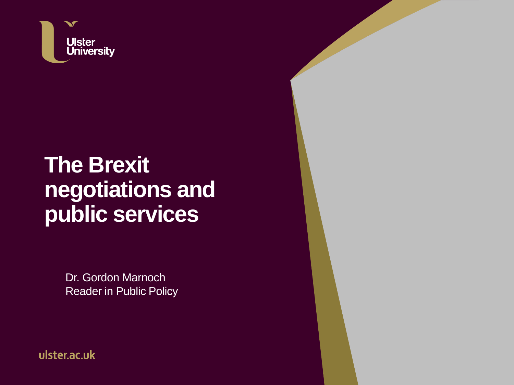

#### **The Brexit negotiations and public services**

Dr. Gordon Marnoch Reader in Public Policy

ulster.ac.uk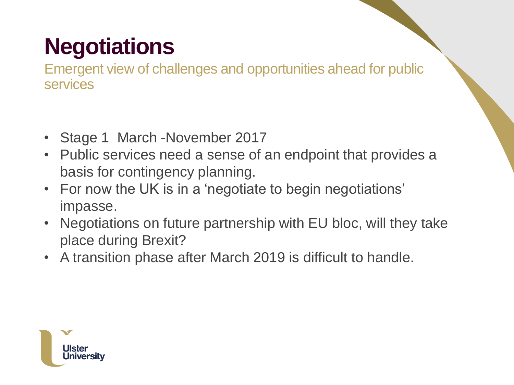# **Negotiations**

Emergent view of challenges and opportunities ahead for public services

- Stage 1 March -November 2017
- Public services need a sense of an endpoint that provides a basis for contingency planning.
- For now the UK is in a 'negotiate to begin negotiations' impasse.
- Negotiations on future partnership with EU bloc, will they take place during Brexit?
- A transition phase after March 2019 is difficult to handle.

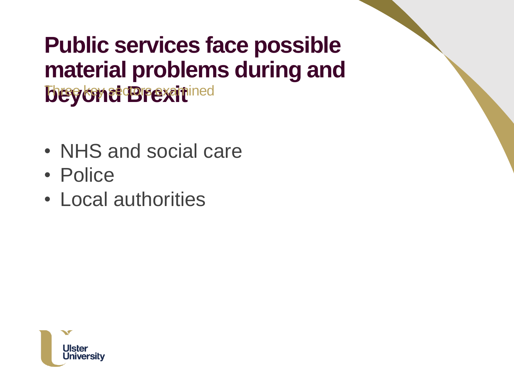#### **Public services face possible material problems during and beyond Brexit**ined

- NHS and social care
- Police
- Local authorities

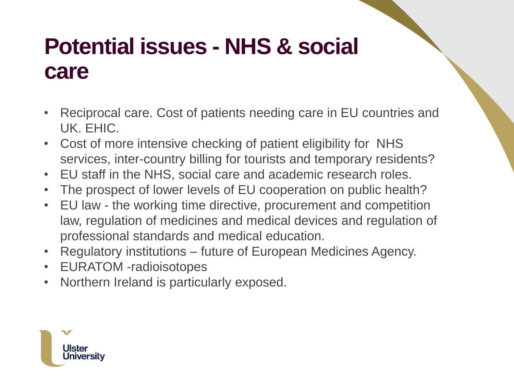### **Potential issues - NHS & social care**

- Reciprocal care. Cost of patients needing care in EU countries and UK. EHIC.
- Cost of more intensive checking of patient eligibility for NHS services, inter-country billing for tourists and temporary residents?
- EU staff in the NHS, social care and academic research roles.
- The prospect of lower levels of EU cooperation on public health?
- EU law the working time directive, procurement and competition law, regulation of medicines and medical devices and regulation of professional standards and medical education.
- Regulatory institutions future of European Medicines Agency.
- EURATOM -radioisotopes
- Northern Ireland is particularly exposed.

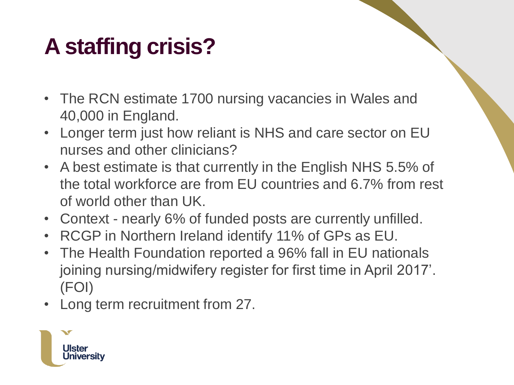# **A staffing crisis?**

- The RCN estimate 1700 nursing vacancies in Wales and 40,000 in England.
- Longer term just how reliant is NHS and care sector on EU nurses and other clinicians?
- A best estimate is that currently in the English NHS 5.5% of the total workforce are from EU countries and 6.7% from rest of world other than UK.
- Context nearly 6% of funded posts are currently unfilled.
- RCGP in Northern Ireland identify 11% of GPs as EU.
- The Health Foundation reported a 96% fall in EU nationals joining nursing/midwifery register for first time in April 2017'. (FOI)
- Long term recruitment from 27.

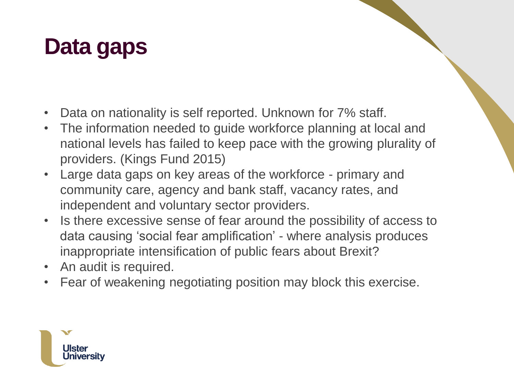### **Data gaps**

- Data on nationality is self reported. Unknown for 7% staff.
- The information needed to guide workforce planning at local and national levels has failed to keep pace with the growing plurality of providers. (Kings Fund 2015)
- Large data gaps on key areas of the workforce primary and community care, agency and bank staff, vacancy rates, and independent and voluntary sector providers.
- Is there excessive sense of fear around the possibility of access to data causing 'social fear amplification' - where analysis produces inappropriate intensification of public fears about Brexit?
- An audit is required.
- Fear of weakening negotiating position may block this exercise.

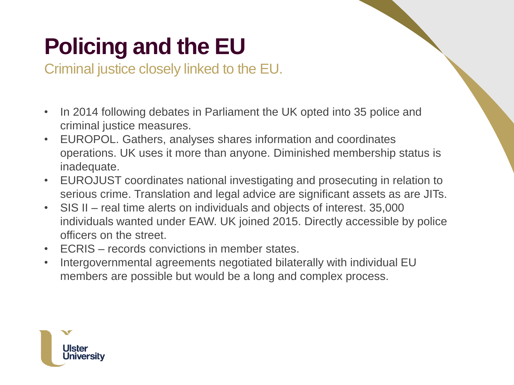## **Policing and the EU**

Criminal justice closely linked to the EU.

- In 2014 following debates in Parliament the UK opted into 35 police and criminal justice measures.
- EUROPOL. Gathers, analyses shares information and coordinates operations. UK uses it more than anyone. Diminished membership status is inadequate.
- EUROJUST coordinates national investigating and prosecuting in relation to serious crime. Translation and legal advice are significant assets as are JITs.
- SIS II real time alerts on individuals and objects of interest. 35,000 individuals wanted under EAW. UK joined 2015. Directly accessible by police officers on the street.
- ECRIS records convictions in member states.
- Intergovernmental agreements negotiated bilaterally with individual EU members are possible but would be a long and complex process.

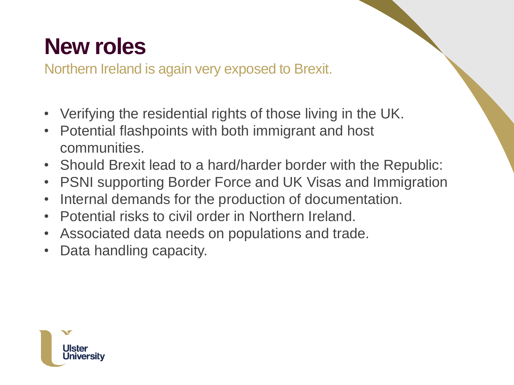### **New roles**

Northern Ireland is again very exposed to Brexit.

- Verifying the residential rights of those living in the UK.
- Potential flashpoints with both immigrant and host communities.
- Should Brexit lead to a hard/harder border with the Republic:
- PSNI supporting Border Force and UK Visas and Immigration
- Internal demands for the production of documentation.
- Potential risks to civil order in Northern Ireland.
- Associated data needs on populations and trade.
- Data handling capacity.

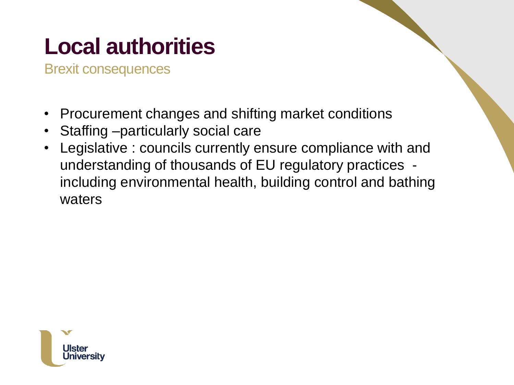# **Local authorities**

Brexit consequences

- Procurement changes and shifting market conditions
- Staffing –particularly social care
- Legislative : councils currently ensure compliance with and understanding of thousands of EU regulatory practices including environmental health, building control and bathing waters

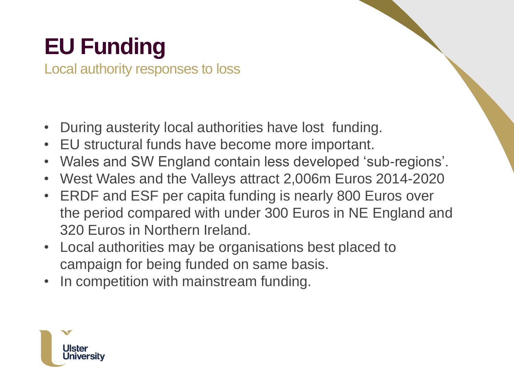# **EU Funding**

Local authority responses to loss

- During austerity local authorities have lost funding.
- EU structural funds have become more important.
- Wales and SW England contain less developed 'sub-regions'.
- West Wales and the Valleys attract 2,006m Euros 2014-2020
- ERDF and ESF per capita funding is nearly 800 Euros over the period compared with under 300 Euros in NE England and 320 Euros in Northern Ireland.
- Local authorities may be organisations best placed to campaign for being funded on same basis.
- In competition with mainstream funding.

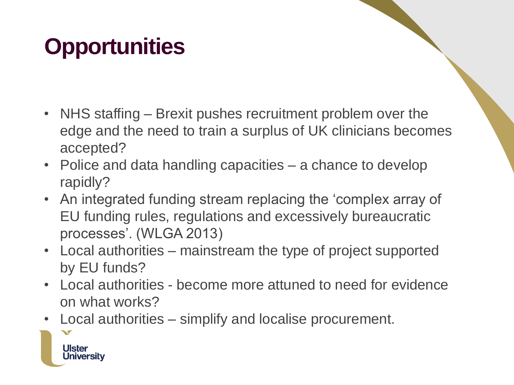## **Opportunities**

- NHS staffing Brexit pushes recruitment problem over the edge and the need to train a surplus of UK clinicians becomes accepted?
- Police and data handling capacities a chance to develop rapidly?
- An integrated funding stream replacing the 'complex array of EU funding rules, regulations and excessively bureaucratic processes'. (WLGA 2013)
- Local authorities mainstream the type of project supported by EU funds?
- Local authorities become more attuned to need for evidence on what works?
- Local authorities simplify and localise procurement.

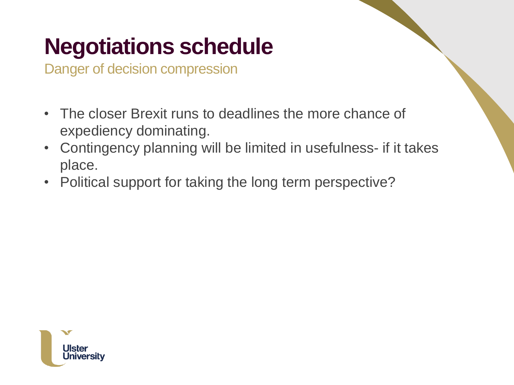### **Negotiations schedule**

Danger of decision compression

- The closer Brexit runs to deadlines the more chance of expediency dominating.
- Contingency planning will be limited in usefulness- if it takes place.
- Political support for taking the long term perspective?

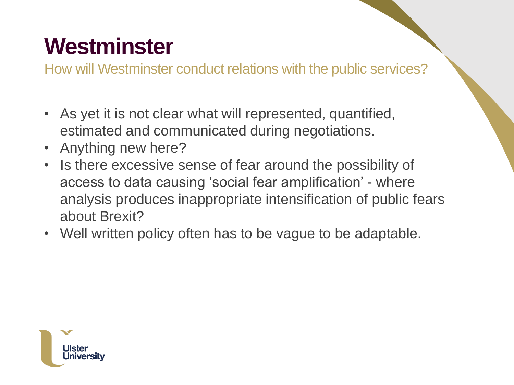### **Westminster**

How will Westminster conduct relations with the public services?

- As yet it is not clear what will represented, quantified, estimated and communicated during negotiations.
- Anything new here?
- Is there excessive sense of fear around the possibility of access to data causing 'social fear amplification' - where analysis produces inappropriate intensification of public fears about Brexit?
- Well written policy often has to be vague to be adaptable.

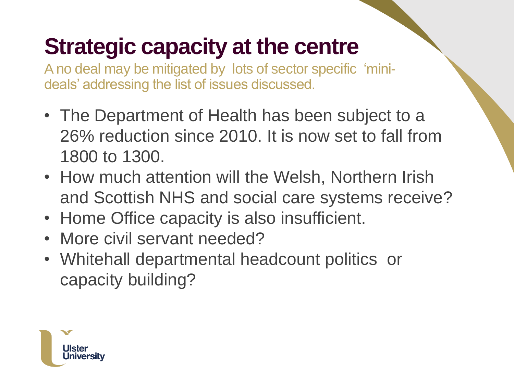### **Strategic capacity at the centre**

A no deal may be mitigated by lots of sector specific 'minideals' addressing the list of issues discussed.

- The Department of Health has been subject to a 26% reduction since 2010. It is now set to fall from 1800 to 1300.
- How much attention will the Welsh, Northern Irish and Scottish NHS and social care systems receive?
- Home Office capacity is also insufficient.
- More civil servant needed?
- Whitehall departmental headcount politics or capacity building?

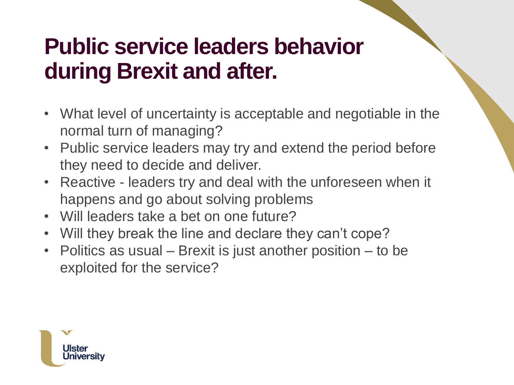#### **Public service leaders behavior during Brexit and after.**

- What level of uncertainty is acceptable and negotiable in the normal turn of managing?
- Public service leaders may try and extend the period before they need to decide and deliver.
- Reactive leaders try and deal with the unforeseen when it happens and go about solving problems
- Will leaders take a bet on one future?
- Will they break the line and declare they can't cope?
- Politics as usual Brexit is just another position to be exploited for the service?